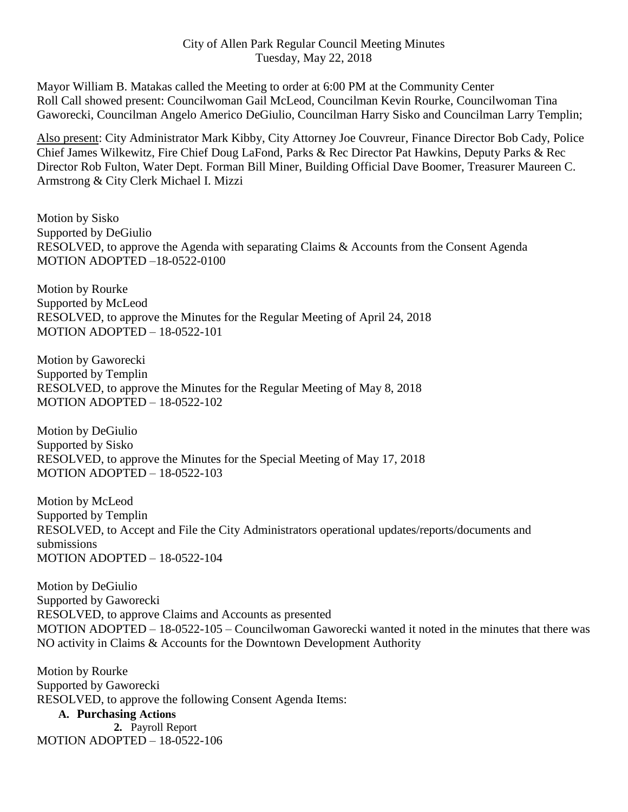Mayor William B. Matakas called the Meeting to order at 6:00 PM at the Community Center Roll Call showed present: Councilwoman Gail McLeod, Councilman Kevin Rourke, Councilwoman Tina Gaworecki, Councilman Angelo Americo DeGiulio, Councilman Harry Sisko and Councilman Larry Templin;

Also present: City Administrator Mark Kibby, City Attorney Joe Couvreur, Finance Director Bob Cady, Police Chief James Wilkewitz, Fire Chief Doug LaFond, Parks & Rec Director Pat Hawkins, Deputy Parks & Rec Director Rob Fulton, Water Dept. Forman Bill Miner, Building Official Dave Boomer, Treasurer Maureen C. Armstrong & City Clerk Michael I. Mizzi

Motion by Sisko Supported by DeGiulio RESOLVED, to approve the Agenda with separating Claims & Accounts from the Consent Agenda MOTION ADOPTED –18-0522-0100

Motion by Rourke Supported by McLeod RESOLVED, to approve the Minutes for the Regular Meeting of April 24, 2018 MOTION ADOPTED – 18-0522-101

Motion by Gaworecki Supported by Templin RESOLVED, to approve the Minutes for the Regular Meeting of May 8, 2018 MOTION ADOPTED – 18-0522-102

Motion by DeGiulio Supported by Sisko RESOLVED, to approve the Minutes for the Special Meeting of May 17, 2018 MOTION ADOPTED – 18-0522-103

Motion by McLeod Supported by Templin RESOLVED, to Accept and File the City Administrators operational updates/reports/documents and submissions MOTION ADOPTED – 18-0522-104

Motion by DeGiulio Supported by Gaworecki RESOLVED, to approve Claims and Accounts as presented MOTION ADOPTED – 18-0522-105 – Councilwoman Gaworecki wanted it noted in the minutes that there was NO activity in Claims & Accounts for the Downtown Development Authority

Motion by Rourke Supported by Gaworecki RESOLVED, to approve the following Consent Agenda Items:

**A. Purchasing Actions 2.** Payroll Report

MOTION ADOPTED – 18-0522-106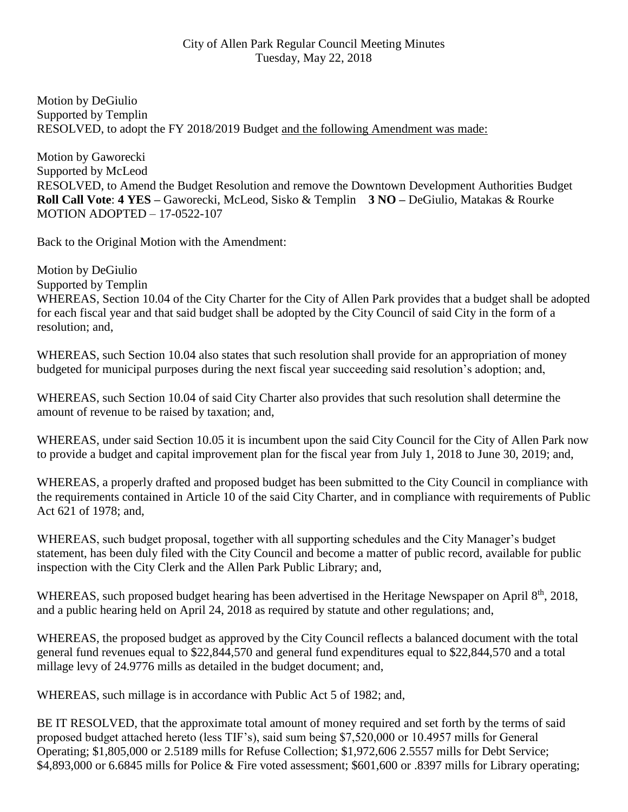Motion by DeGiulio Supported by Templin RESOLVED, to adopt the FY 2018/2019 Budget and the following Amendment was made:

Motion by Gaworecki Supported by McLeod RESOLVED, to Amend the Budget Resolution and remove the Downtown Development Authorities Budget **Roll Call Vote**: **4 YES –** Gaworecki, McLeod, Sisko & Templin **3 NO –** DeGiulio, Matakas & Rourke MOTION ADOPTED – 17-0522-107

Back to the Original Motion with the Amendment:

Motion by DeGiulio Supported by Templin WHEREAS, Section 10.04 of the City Charter for the City of Allen Park provides that a budget shall be adopted for each fiscal year and that said budget shall be adopted by the City Council of said City in the form of a resolution; and,

WHEREAS, such Section 10.04 also states that such resolution shall provide for an appropriation of money budgeted for municipal purposes during the next fiscal year succeeding said resolution's adoption; and,

WHEREAS, such Section 10.04 of said City Charter also provides that such resolution shall determine the amount of revenue to be raised by taxation; and,

WHEREAS, under said Section 10.05 it is incumbent upon the said City Council for the City of Allen Park now to provide a budget and capital improvement plan for the fiscal year from July 1, 2018 to June 30, 2019; and,

WHEREAS, a properly drafted and proposed budget has been submitted to the City Council in compliance with the requirements contained in Article 10 of the said City Charter, and in compliance with requirements of Public Act 621 of 1978; and,

WHEREAS, such budget proposal, together with all supporting schedules and the City Manager's budget statement, has been duly filed with the City Council and become a matter of public record, available for public inspection with the City Clerk and the Allen Park Public Library; and,

WHEREAS, such proposed budget hearing has been advertised in the Heritage Newspaper on April 8<sup>th</sup>, 2018, and a public hearing held on April 24, 2018 as required by statute and other regulations; and,

WHEREAS, the proposed budget as approved by the City Council reflects a balanced document with the total general fund revenues equal to \$22,844,570 and general fund expenditures equal to \$22,844,570 and a total millage levy of 24.9776 mills as detailed in the budget document; and,

WHEREAS, such millage is in accordance with Public Act 5 of 1982; and,

BE IT RESOLVED, that the approximate total amount of money required and set forth by the terms of said proposed budget attached hereto (less TIF's), said sum being \$7,520,000 or 10.4957 mills for General Operating; \$1,805,000 or 2.5189 mills for Refuse Collection; \$1,972,606 2.5557 mills for Debt Service; \$4,893,000 or 6.6845 mills for Police & Fire voted assessment; \$601,600 or .8397 mills for Library operating;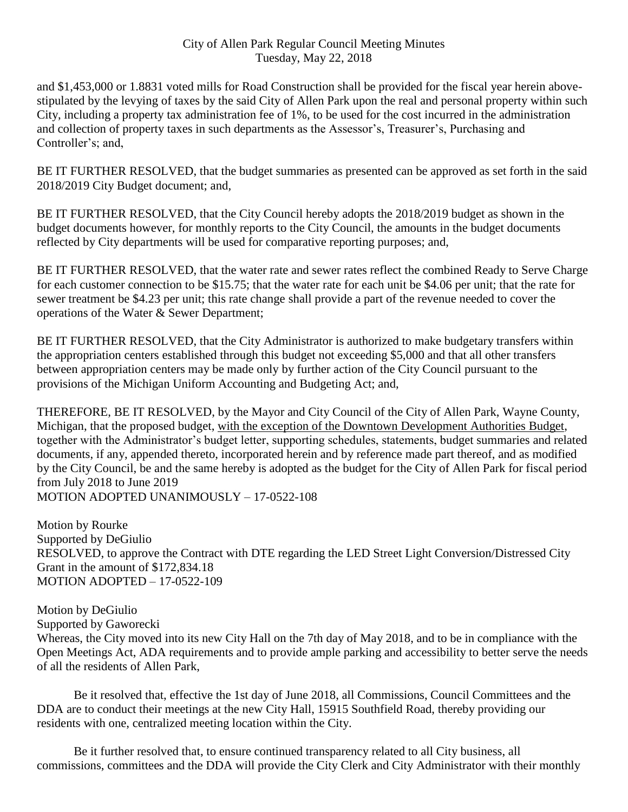and \$1,453,000 or 1.8831 voted mills for Road Construction shall be provided for the fiscal year herein abovestipulated by the levying of taxes by the said City of Allen Park upon the real and personal property within such City, including a property tax administration fee of 1%, to be used for the cost incurred in the administration and collection of property taxes in such departments as the Assessor's, Treasurer's, Purchasing and Controller's; and,

BE IT FURTHER RESOLVED, that the budget summaries as presented can be approved as set forth in the said 2018/2019 City Budget document; and,

BE IT FURTHER RESOLVED, that the City Council hereby adopts the 2018/2019 budget as shown in the budget documents however, for monthly reports to the City Council, the amounts in the budget documents reflected by City departments will be used for comparative reporting purposes; and,

BE IT FURTHER RESOLVED, that the water rate and sewer rates reflect the combined Ready to Serve Charge for each customer connection to be \$15.75; that the water rate for each unit be \$4.06 per unit; that the rate for sewer treatment be \$4.23 per unit; this rate change shall provide a part of the revenue needed to cover the operations of the Water & Sewer Department;

BE IT FURTHER RESOLVED, that the City Administrator is authorized to make budgetary transfers within the appropriation centers established through this budget not exceeding \$5,000 and that all other transfers between appropriation centers may be made only by further action of the City Council pursuant to the provisions of the Michigan Uniform Accounting and Budgeting Act; and,

THEREFORE, BE IT RESOLVED, by the Mayor and City Council of the City of Allen Park, Wayne County, Michigan, that the proposed budget, with the exception of the Downtown Development Authorities Budget, together with the Administrator's budget letter, supporting schedules, statements, budget summaries and related documents, if any, appended thereto, incorporated herein and by reference made part thereof, and as modified by the City Council, be and the same hereby is adopted as the budget for the City of Allen Park for fiscal period from July 2018 to June 2019 MOTION ADOPTED UNANIMOUSLY – 17-0522-108

Motion by Rourke Supported by DeGiulio RESOLVED, to approve the Contract with DTE regarding the LED Street Light Conversion/Distressed City Grant in the amount of \$172,834.18 MOTION ADOPTED – 17-0522-109

Motion by DeGiulio Supported by Gaworecki Whereas, the City moved into its new City Hall on the 7th day of May 2018, and to be in compliance with the Open Meetings Act, ADA requirements and to provide ample parking and accessibility to better serve the needs of all the residents of Allen Park,

Be it resolved that, effective the 1st day of June 2018, all Commissions, Council Committees and the DDA are to conduct their meetings at the new City Hall, 15915 Southfield Road, thereby providing our residents with one, centralized meeting location within the City.

Be it further resolved that, to ensure continued transparency related to all City business, all commissions, committees and the DDA will provide the City Clerk and City Administrator with their monthly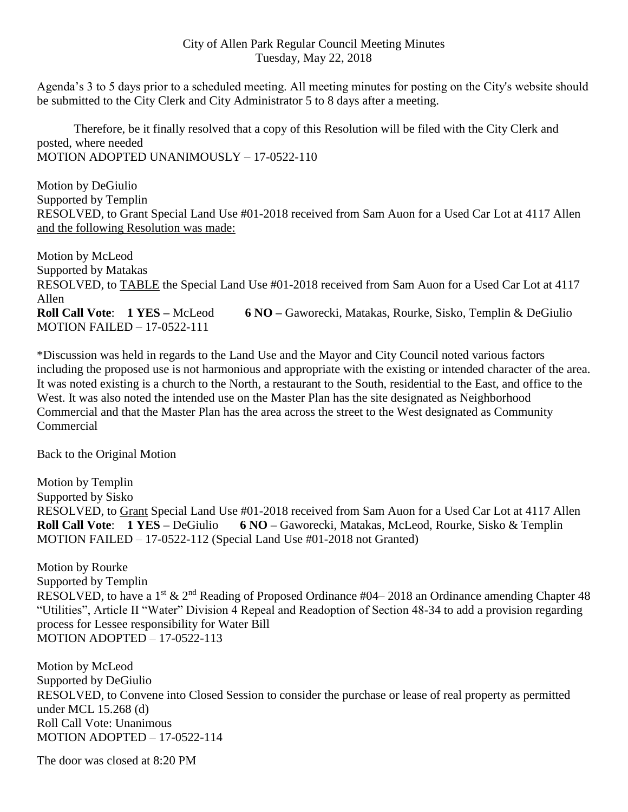Agenda's 3 to 5 days prior to a scheduled meeting. All meeting minutes for posting on the City's website should be submitted to the City Clerk and City Administrator 5 to 8 days after a meeting.

Therefore, be it finally resolved that a copy of this Resolution will be filed with the City Clerk and posted, where needed MOTION ADOPTED UNANIMOUSLY – 17-0522-110

Motion by DeGiulio Supported by Templin RESOLVED, to Grant Special Land Use #01-2018 received from Sam Auon for a Used Car Lot at 4117 Allen and the following Resolution was made:

Motion by McLeod Supported by Matakas RESOLVED, to TABLE the Special Land Use #01-2018 received from Sam Auon for a Used Car Lot at 4117 Allen **Roll Call Vote**: **1 YES –** McLeod **6 NO –** Gaworecki, Matakas, Rourke, Sisko, Templin & DeGiulio MOTION FAILED – 17-0522-111

\*Discussion was held in regards to the Land Use and the Mayor and City Council noted various factors including the proposed use is not harmonious and appropriate with the existing or intended character of the area. It was noted existing is a church to the North, a restaurant to the South, residential to the East, and office to the West. It was also noted the intended use on the Master Plan has the site designated as Neighborhood Commercial and that the Master Plan has the area across the street to the West designated as Community **Commercial** 

Back to the Original Motion

Motion by Templin Supported by Sisko RESOLVED, to Grant Special Land Use #01-2018 received from Sam Auon for a Used Car Lot at 4117 Allen **Roll Call Vote**: **1 YES –** DeGiulio **6 NO –** Gaworecki, Matakas, McLeod, Rourke, Sisko & Templin MOTION FAILED – 17-0522-112 (Special Land Use #01-2018 not Granted)

Motion by Rourke Supported by Templin RESOLVED, to have a 1<sup>st</sup>  $\&$  2<sup>nd</sup> Reading of Proposed Ordinance #04–2018 an Ordinance amending Chapter 48 "Utilities", Article II "Water" Division 4 Repeal and Readoption of Section 48-34 to add a provision regarding process for Lessee responsibility for Water Bill MOTION ADOPTED – 17-0522-113

Motion by McLeod Supported by DeGiulio RESOLVED, to Convene into Closed Session to consider the purchase or lease of real property as permitted under MCL 15.268 (d) Roll Call Vote: Unanimous MOTION ADOPTED – 17-0522-114

The door was closed at 8:20 PM